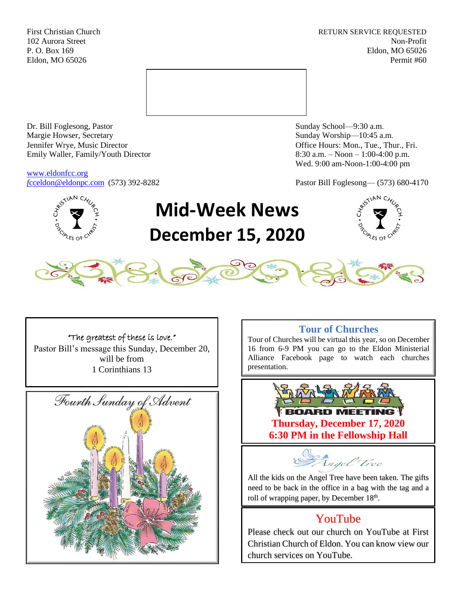First Christian Church **RETURN SERVICE REQUESTED** 102 Aurora Street Non-Profit P. O. Box 169 Eldon, MO 65026 Eldon, MO 65026 Permit #60



Dr. Bill Foglesong, Pastor Sunday School—9:30 a.m. Margie Howser, Secretary Sunday Worship—10:45 a.m. Jennifer Wrye, Music Director Office Hours: Mon., Tue., Thur., Fri. Emily Waller, Family/Youth Director 8:30 a.m. – Noon – 1:00-4:00 p.m.

[www.eldonfcc.org](http://www.eldonfcc.org/)

Wed. 9:00 am-Noon-1:00-4:00 pm

*f*[cceldon@eldonpc.com](mailto:fcceldon@eldonpc.com) (573) 392-8282 Pastor Bill Foglesong— (573) 680-4170



# **Mid-Week News December 15, 2020**





### "The greatest of these is love."

Pastor Bill's message this Sunday, December 20, will be from 1 Corinthians 13



## **Tour of Churches**

Tour of Churches will be virtual this year, so on December 16 from 6-9 PM you can go to the Eldon Ministerial Alliance Facebook page to watch each churches presentation.



Angel Tree

All the kids on the Angel Tree have been taken. The gifts need to be back in the office in a bag with the tag and a roll of wrapping paper, by December 18<sup>th</sup>.

# YouTube

Please check out our church on YouTube at First Christian Church of Eldon. You can know view our church services on YouTube.